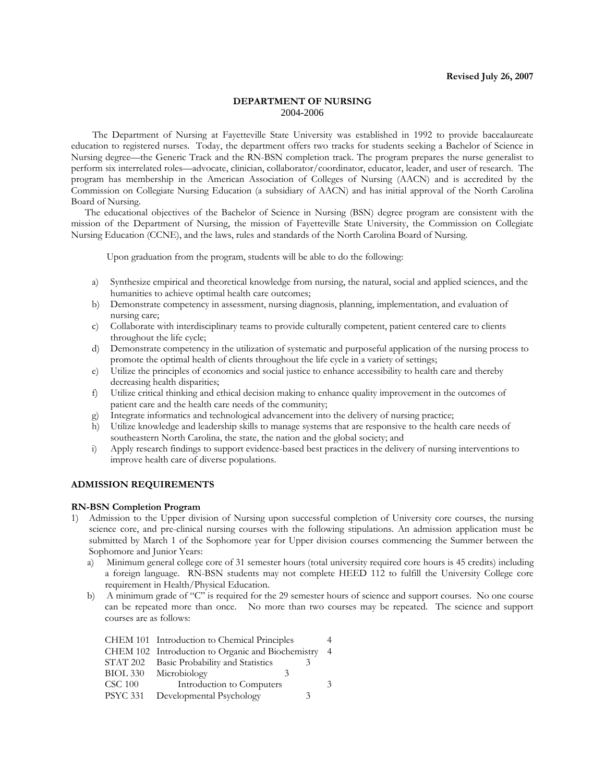#### **DEPARTMENT OF NURSING**  2004-2006

 The Department of Nursing at Fayetteville State University was established in 1992 to provide baccalaureate education to registered nurses. Today, the department offers two tracks for students seeking a Bachelor of Science in Nursing degree—the Generic Track and the RN-BSN completion track. The program prepares the nurse generalist to perform six interrelated roles—advocate, clinician, collaborator/coordinator, educator, leader, and user of research. The program has membership in the American Association of Colleges of Nursing (AACN) and is accredited by the Commission on Collegiate Nursing Education (a subsidiary of AACN) and has initial approval of the North Carolina Board of Nursing.

The educational objectives of the Bachelor of Science in Nursing (BSN) degree program are consistent with the mission of the Department of Nursing, the mission of Fayetteville State University, the Commission on Collegiate Nursing Education (CCNE), and the laws, rules and standards of the North Carolina Board of Nursing.

Upon graduation from the program, students will be able to do the following:

- a) Synthesize empirical and theoretical knowledge from nursing, the natural, social and applied sciences, and the humanities to achieve optimal health care outcomes;
- b) Demonstrate competency in assessment, nursing diagnosis, planning, implementation, and evaluation of nursing care;
- c) Collaborate with interdisciplinary teams to provide culturally competent, patient centered care to clients throughout the life cycle;
- d) Demonstrate competency in the utilization of systematic and purposeful application of the nursing process to promote the optimal health of clients throughout the life cycle in a variety of settings;
- e) Utilize the principles of economics and social justice to enhance accessibility to health care and thereby decreasing health disparities;
- f) Utilize critical thinking and ethical decision making to enhance quality improvement in the outcomes of patient care and the health care needs of the community;
- 
- g) Integrate informatics and technological advancement into the delivery of nursing practice;<br>
h) Utilize knowledge and leadership skills to manage systems that are responsive to the health Utilize knowledge and leadership skills to manage systems that are responsive to the health care needs of southeastern North Carolina, the state, the nation and the global society; and
- i) Apply research findings to support evidence-based best practices in the delivery of nursing interventions to improve health care of diverse populations.

#### **ADMISSION REQUIREMENTS**

#### **RN-BSN Completion Program**

- 1) Admission to the Upper division of Nursing upon successful completion of University core courses, the nursing science core, and pre-clinical nursing courses with the following stipulations. An admission application must be submitted by March 1 of the Sophomore year for Upper division courses commencing the Summer between the Sophomore and Junior Years:
	- a) Minimum general college core of 31 semester hours (total university required core hours is 45 credits) including a foreign language. RN-BSN students may not complete HEED 112 to fulfill the University College core requirement in Health/Physical Education.
	- b) A minimum grade of "C" is required for the 29 semester hours of science and support courses. No one course can be repeated more than once. No more than two courses may be repeated. The science and support courses are as follows:

|                 | CHEM 101 Introduction to Chemical Principles      |    |
|-----------------|---------------------------------------------------|----|
|                 | CHEM 102 Introduction to Organic and Biochemistry | -4 |
|                 | STAT 202 Basic Probability and Statistics         |    |
|                 | BIOL 330 Microbiology                             |    |
| $CSC$ 100       | Introduction to Computers                         | 3  |
| <b>PSYC 331</b> | Developmental Psychology<br>3                     |    |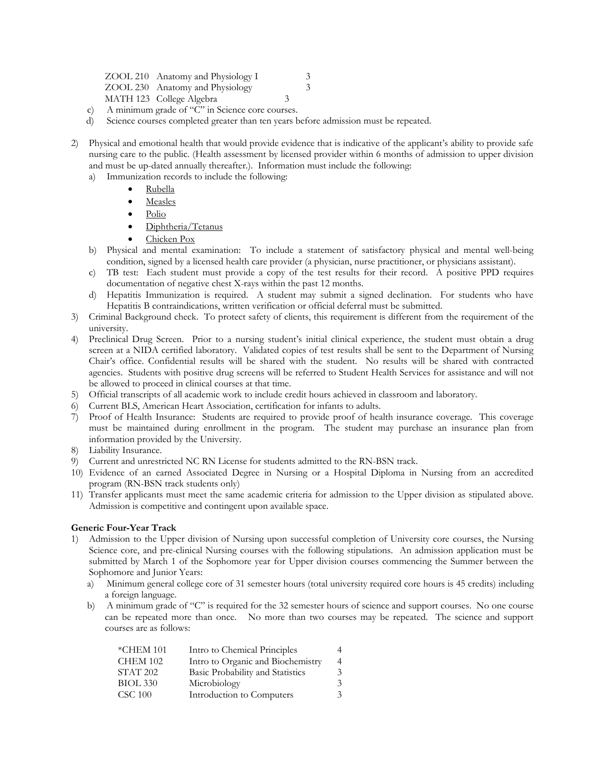| ZOOL 210 Anatomy and Physiology I |               | 3 |
|-----------------------------------|---------------|---|
| ZOOL 230 Anatomy and Physiology   |               | 3 |
| MATH 123 College Algebra          | $\mathcal{R}$ |   |
|                                   |               |   |

- c) A minimum grade of "C" in Science core courses.
- d) Science courses completed greater than ten years before admission must be repeated.
- 2) Physical and emotional health that would provide evidence that is indicative of the applicant's ability to provide safe nursing care to the public. (Health assessment by licensed provider within 6 months of admission to upper division and must be up-dated annually thereafter.). Information must include the following:
	- a) Immunization records to include the following:
		- Rubella
		- Measles
		- Polio
		- Diphtheria/Tetanus
		- Chicken Pox
	- b) Physical and mental examination: To include a statement of satisfactory physical and mental well-being condition, signed by a licensed health care provider (a physician, nurse practitioner, or physicians assistant).
	- c) TB test: Each student must provide a copy of the test results for their record. A positive PPD requires documentation of negative chest X-rays within the past 12 months.
	- d) Hepatitis Immunization is required. A student may submit a signed declination. For students who have Hepatitis B contraindications, written verification or official deferral must be submitted.
- 3) Criminal Background check. To protect safety of clients, this requirement is different from the requirement of the university.
- 4) Preclinical Drug Screen. Prior to a nursing student's initial clinical experience, the student must obtain a drug screen at a NIDA certified laboratory. Validated copies of test results shall be sent to the Department of Nursing Chair's office. Confidential results will be shared with the student. No results will be shared with contracted agencies. Students with positive drug screens will be referred to Student Health Services for assistance and will not be allowed to proceed in clinical courses at that time.
- 5) Official transcripts of all academic work to include credit hours achieved in classroom and laboratory.
- 6) Current BLS, American Heart Association, certification for infants to adults.
- 7) Proof of Health Insurance: Students are required to provide proof of health insurance coverage. This coverage must be maintained during enrollment in the program. The student may purchase an insurance plan from information provided by the University.
- Liability Insurance.
- 9) Current and unrestricted NC RN License for students admitted to the RN-BSN track.
- 10) Evidence of an earned Associated Degree in Nursing or a Hospital Diploma in Nursing from an accredited program (RN-BSN track students only)
- 11) Transfer applicants must meet the same academic criteria for admission to the Upper division as stipulated above. Admission is competitive and contingent upon available space.

#### **Generic Four-Year Track**

- 1) Admission to the Upper division of Nursing upon successful completion of University core courses, the Nursing Science core, and pre-clinical Nursing courses with the following stipulations. An admission application must be submitted by March 1 of the Sophomore year for Upper division courses commencing the Summer between the Sophomore and Junior Years:
	- a) Minimum general college core of 31 semester hours (total university required core hours is 45 credits) including a foreign language.
	- b) A minimum grade of "C" is required for the 32 semester hours of science and support courses. No one course can be repeated more than once. No more than two courses may be repeated. The science and support courses are as follows:

| $*$ CHEM 101        | Intro to Chemical Principles      |    |
|---------------------|-----------------------------------|----|
| <b>CHEM 102</b>     | Intro to Organic and Biochemistry |    |
| STAT <sub>202</sub> | Basic Probability and Statistics  | 3. |
| <b>BIOL 330</b>     | Microbiology                      | 3  |
| <b>CSC 100</b>      | Introduction to Computers         | 3. |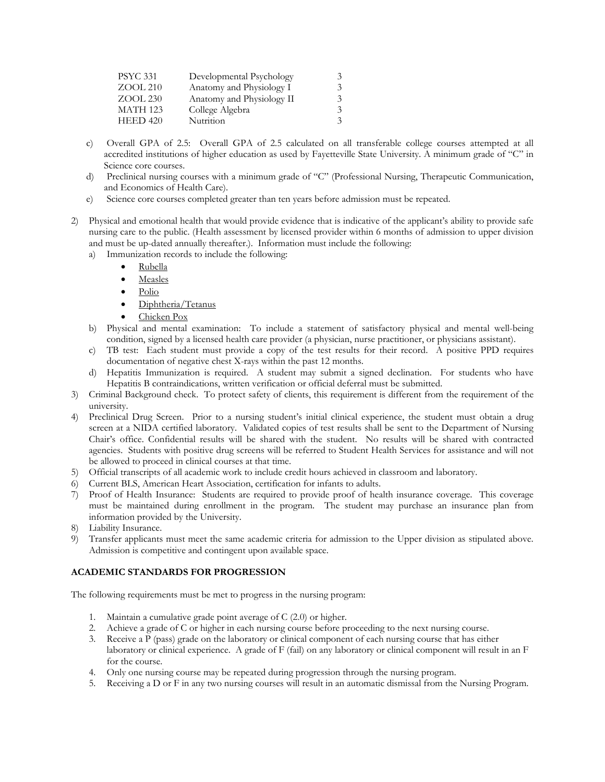| <b>PSYC 331</b> | Developmental Psychology  | 3             |
|-----------------|---------------------------|---------------|
| $ZOOL$ 210      | Anatomy and Physiology I  | $\mathcal{Z}$ |
| $ZOOL$ 230      | Anatomy and Physiology II | 3             |
| <b>MATH 123</b> | College Algebra           | 3             |
| $HEED$ 420      | Nutrition                 | $\mathcal{Z}$ |

- c) Overall GPA of 2.5: Overall GPA of 2.5 calculated on all transferable college courses attempted at all accredited institutions of higher education as used by Fayetteville State University. A minimum grade of "C" in Science core courses.
- d) Preclinical nursing courses with a minimum grade of "C" (Professional Nursing, Therapeutic Communication, and Economics of Health Care).
- e) Science core courses completed greater than ten years before admission must be repeated.
- 2) Physical and emotional health that would provide evidence that is indicative of the applicant's ability to provide safe nursing care to the public. (Health assessment by licensed provider within 6 months of admission to upper division and must be up-dated annually thereafter.). Information must include the following:
	- a) Immunization records to include the following:
		- Rubella
		- Measles
		- Polio
		- Diphtheria/Tetanus
		- Chicken Pox
	- b) Physical and mental examination: To include a statement of satisfactory physical and mental well-being condition, signed by a licensed health care provider (a physician, nurse practitioner, or physicians assistant).
	- c) TB test: Each student must provide a copy of the test results for their record. A positive PPD requires documentation of negative chest X-rays within the past 12 months.
	- d) Hepatitis Immunization is required. A student may submit a signed declination. For students who have Hepatitis B contraindications, written verification or official deferral must be submitted.
- 3) Criminal Background check. To protect safety of clients, this requirement is different from the requirement of the university.
- 4) Preclinical Drug Screen. Prior to a nursing student's initial clinical experience, the student must obtain a drug screen at a NIDA certified laboratory. Validated copies of test results shall be sent to the Department of Nursing Chair's office. Confidential results will be shared with the student. No results will be shared with contracted agencies. Students with positive drug screens will be referred to Student Health Services for assistance and will not be allowed to proceed in clinical courses at that time.
- 5) Official transcripts of all academic work to include credit hours achieved in classroom and laboratory.
- 6) Current BLS, American Heart Association, certification for infants to adults.
- 7) Proof of Health Insurance: Students are required to provide proof of health insurance coverage. This coverage must be maintained during enrollment in the program. The student may purchase an insurance plan from information provided by the University.
- 8) Liability Insurance.
- 9) Transfer applicants must meet the same academic criteria for admission to the Upper division as stipulated above. Admission is competitive and contingent upon available space.

## **ACADEMIC STANDARDS FOR PROGRESSION**

The following requirements must be met to progress in the nursing program:

- 1. Maintain a cumulative grade point average of C (2.0) or higher.
- 2. Achieve a grade of C or higher in each nursing course before proceeding to the next nursing course.
- 3. Receive a P (pass) grade on the laboratory or clinical component of each nursing course that has either laboratory or clinical experience. A grade of F (fail) on any laboratory or clinical component will result in an F for the course.
- 4. Only one nursing course may be repeated during progression through the nursing program.
- 5. Receiving a D or F in any two nursing courses will result in an automatic dismissal from the Nursing Program.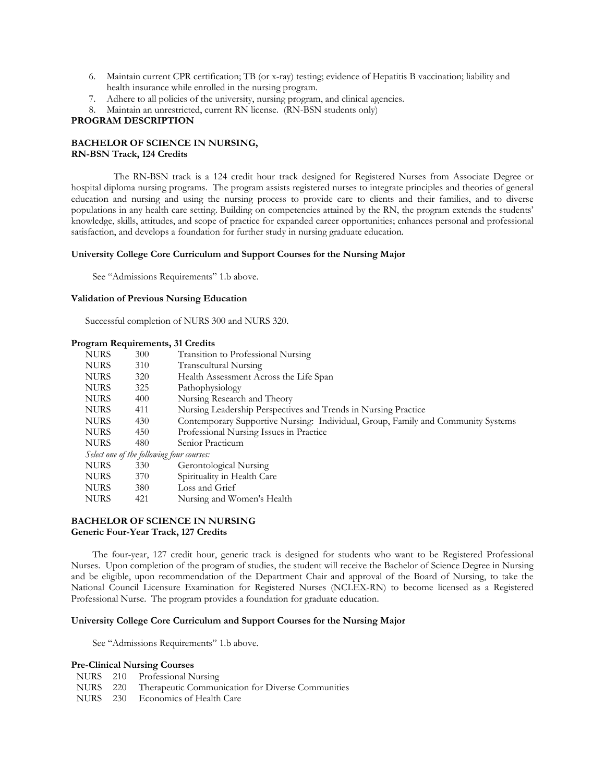- 6. Maintain current CPR certification; TB (or x-ray) testing; evidence of Hepatitis B vaccination; liability and health insurance while enrolled in the nursing program.
- 7. Adhere to all policies of the university, nursing program, and clinical agencies.
- 8. Maintain an unrestricted, current RN license. (RN-BSN students only)

### **PROGRAM DESCRIPTION**

## **BACHELOR OF SCIENCE IN NURSING, RN-BSN Track, 124 Credits**

 The RN-BSN track is a 124 credit hour track designed for Registered Nurses from Associate Degree or hospital diploma nursing programs. The program assists registered nurses to integrate principles and theories of general education and nursing and using the nursing process to provide care to clients and their families, and to diverse populations in any health care setting. Building on competencies attained by the RN, the program extends the students' knowledge, skills, attitudes, and scope of practice for expanded career opportunities; enhances personal and professional satisfaction, and develops a foundation for further study in nursing graduate education.

#### **University College Core Curriculum and Support Courses for the Nursing Major**

See "Admissions Requirements" 1.b above.

#### **Validation of Previous Nursing Education**

Successful completion of NURS 300 and NURS 320.

## **Program Requirements, 31 Credits**

| <b>NURS</b> | 300 | Transition to Professional Nursing                                               |
|-------------|-----|----------------------------------------------------------------------------------|
| <b>NURS</b> | 310 | Transcultural Nursing                                                            |
| <b>NURS</b> | 320 | Health Assessment Across the Life Span                                           |
| <b>NURS</b> | 325 | Pathophysiology                                                                  |
| <b>NURS</b> | 400 | Nursing Research and Theory                                                      |
| <b>NURS</b> | 411 | Nursing Leadership Perspectives and Trends in Nursing Practice                   |
| <b>NURS</b> | 430 | Contemporary Supportive Nursing: Individual, Group, Family and Community Systems |
| <b>NURS</b> | 450 | Professional Nursing Issues in Practice                                          |
| <b>NURS</b> | 480 | Senior Practicum                                                                 |
|             |     | Select one of the following four courses:                                        |
| <b>NURS</b> | 330 | Gerontological Nursing                                                           |
| <b>NURS</b> | 370 | Spirituality in Health Care                                                      |
| <b>NURS</b> | 380 | Loss and Grief                                                                   |
| <b>NURS</b> | 421 | Nursing and Women's Health                                                       |

#### **BACHELOR OF SCIENCE IN NURSING Generic Four-Year Track, 127 Credits**

 The four-year, 127 credit hour, generic track is designed for students who want to be Registered Professional Nurses. Upon completion of the program of studies, the student will receive the Bachelor of Science Degree in Nursing and be eligible, upon recommendation of the Department Chair and approval of the Board of Nursing, to take the National Council Licensure Examination for Registered Nurses (NCLEX-RN) to become licensed as a Registered Professional Nurse. The program provides a foundation for graduate education.

#### **University College Core Curriculum and Support Courses for the Nursing Major**

See "Admissions Requirements" 1.b above.

## **Pre-Clinical Nursing Courses**

- NURS 210 Professional Nursing
- NURS 220 Therapeutic Communication for Diverse Communities
- NURS 230 Economics of Health Care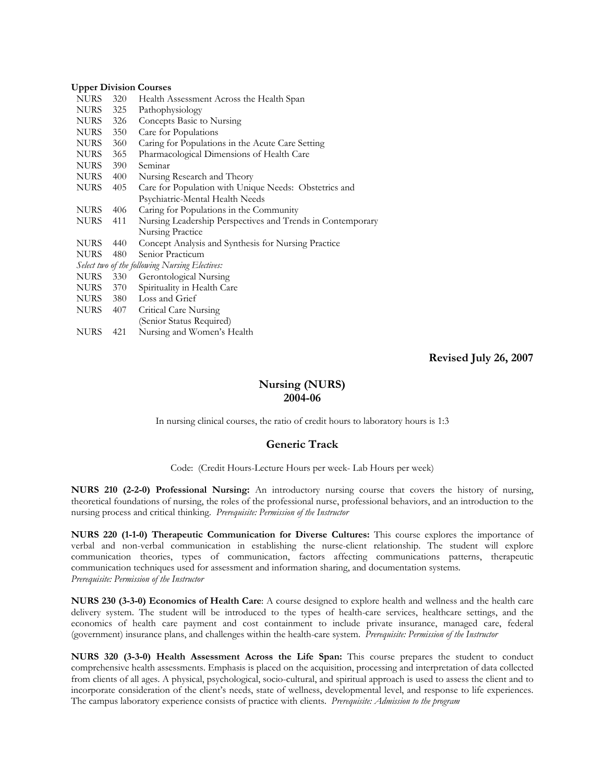### **Upper Division Courses**

| <b>NURS</b> | 320 | Health Assessment Across the Health Span                   |
|-------------|-----|------------------------------------------------------------|
| <b>NURS</b> | 325 | Pathophysiology                                            |
| NURS        | 326 | Concepts Basic to Nursing                                  |
| NURS        | 350 | Care for Populations                                       |
| NURS        | 360 | Caring for Populations in the Acute Care Setting           |
| NURS        | 365 | Pharmacological Dimensions of Health Care                  |
| NURS        | 390 | Seminar                                                    |
| NURS        | 400 | Nursing Research and Theory                                |
| <b>NURS</b> | 405 | Care for Population with Unique Needs: Obstetrics and      |
|             |     | Psychiatric-Mental Health Needs                            |
| <b>NURS</b> | 406 | Caring for Populations in the Community                    |
| <b>NURS</b> | 411 | Nursing Leadership Perspectives and Trends in Contemporary |
|             |     | Nursing Practice                                           |
| <b>NURS</b> | 440 | Concept Analysis and Synthesis for Nursing Practice        |
| <b>NURS</b> | 480 | Senior Practicum                                           |
|             |     | Select two of the following Nursing Electives:             |
| NURS        | 330 | Gerontological Nursing                                     |
| NURS        | 370 | Spirituality in Health Care                                |
| NURS        | 380 | Loss and Grief                                             |
| NURS        | 407 | Critical Care Nursing                                      |
|             |     | (Senior Status Required)                                   |
| <b>NURS</b> | 421 | Nursing and Women's Health                                 |
|             |     |                                                            |

**Revised July 26, 2007** 

# **Nursing (NURS) 2004-06**

In nursing clinical courses, the ratio of credit hours to laboratory hours is 1:3

## **Generic Track**

Code: (Credit Hours-Lecture Hours per week- Lab Hours per week)

**NURS 210 (2-2-0) Professional Nursing:** An introductory nursing course that covers the history of nursing, theoretical foundations of nursing, the roles of the professional nurse, professional behaviors, and an introduction to the nursing process and critical thinking. *Prerequisite: Permission of the Instructor* 

**NURS 220 (1-1-0) Therapeutic Communication for Diverse Cultures:** This course explores the importance of verbal and non-verbal communication in establishing the nurse-client relationship. The student will explore communication theories, types of communication, factors affecting communications patterns, therapeutic communication techniques used for assessment and information sharing, and documentation systems*. Prerequisite: Permission of the Instructor* 

**NURS 230 (3-3-0) Economics of Health Care**: A course designed to explore health and wellness and the health care delivery system. The student will be introduced to the types of health-care services, healthcare settings, and the economics of health care payment and cost containment to include private insurance, managed care, federal (government) insurance plans, and challenges within the health-care system. *Prerequisite: Permission of the Instructor* 

**NURS 320 (3-3-0) Health Assessment Across the Life Span:** This course prepares the student to conduct comprehensive health assessments. Emphasis is placed on the acquisition, processing and interpretation of data collected from clients of all ages. A physical, psychological, socio-cultural, and spiritual approach is used to assess the client and to incorporate consideration of the client's needs, state of wellness, developmental level, and response to life experiences. The campus laboratory experience consists of practice with clients. *Prerequisite: Admission to the program*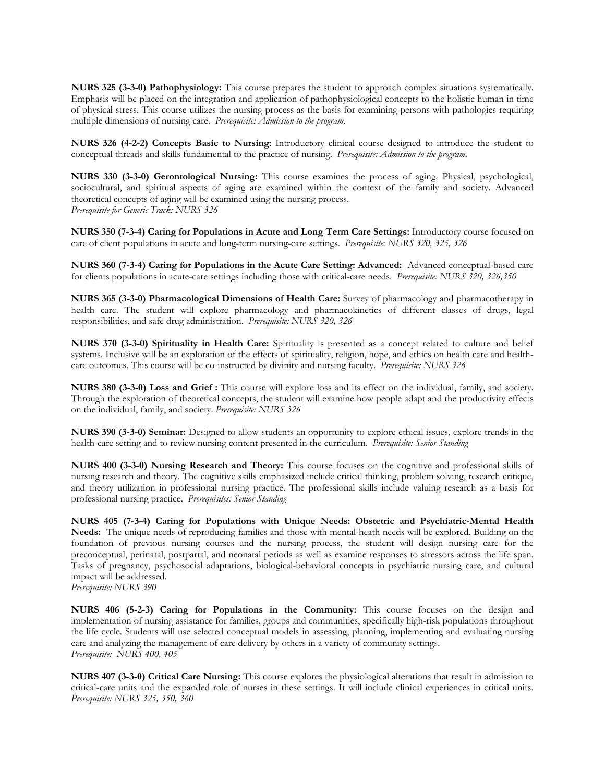**NURS 325 (3-3-0) Pathophysiology:** This course prepares the student to approach complex situations systematically. Emphasis will be placed on the integration and application of pathophysiological concepts to the holistic human in time of physical stress. This course utilizes the nursing process as the basis for examining persons with pathologies requiring multiple dimensions of nursing care. *Prerequisite: Admission to the program.* 

**NURS 326 (4-2-2) Concepts Basic to Nursing**: Introductory clinical course designed to introduce the student to conceptual threads and skills fundamental to the practice of nursing. *Prerequisite: Admission to the program.* 

**NURS 330 (3-3-0) Gerontological Nursing:** This course examines the process of aging. Physical, psychological, sociocultural, and spiritual aspects of aging are examined within the context of the family and society. Advanced theoretical concepts of aging will be examined using the nursing process. *Prerequisite for Generic Track: NURS 326* 

**NURS 350 (7-3-4) Caring for Populations in Acute and Long Term Care Settings:** Introductory course focused on care of client populations in acute and long-term nursing-care settings. *Prerequisite*: *NURS 320, 325, 326* 

**NURS 360 (7-3-4) Caring for Populations in the Acute Care Setting: Advanced:** Advanced conceptual-based care for clients populations in acute-care settings including those with critical-care needs. *Prerequisite: NURS 320, 326,350* 

**NURS 365 (3-3-0) Pharmacological Dimensions of Health Care:** Survey of pharmacology and pharmacotherapy in health care. The student will explore pharmacology and pharmacokinetics of different classes of drugs, legal responsibilities, and safe drug administration. *Prerequisite: NURS 320, 326* 

**NURS 370 (3-3-0) Spirituality in Health Care:** Spirituality is presented as a concept related to culture and belief systems. Inclusive will be an exploration of the effects of spirituality, religion, hope, and ethics on health care and healthcare outcomes. This course will be co-instructed by divinity and nursing faculty. *Prerequisite: NURS 326* 

**NURS 380 (3-3-0) Loss and Grief :** This course will explore loss and its effect on the individual, family, and society. Through the exploration of theoretical concepts, the student will examine how people adapt and the productivity effects on the individual, family, and society. *Prerequisite: NURS 326*

**NURS 390 (3-3-0) Seminar:** Designed to allow students an opportunity to explore ethical issues, explore trends in the health-care setting and to review nursing content presented in the curriculum. *Prerequisite: Senior Standing* 

**NURS 400 (3-3-0) Nursing Research and Theory:** This course focuses on the cognitive and professional skills of nursing research and theory. The cognitive skills emphasized include critical thinking, problem solving, research critique, and theory utilization in professional nursing practice. The professional skills include valuing research as a basis for professional nursing practice. *Prerequisites: Senior Standing* 

**NURS 405 (7-3-4) Caring for Populations with Unique Needs: Obstetric and Psychiatric-Mental Health Needs:** The unique needs of reproducing families and those with mental-heath needs will be explored. Building on the foundation of previous nursing courses and the nursing process, the student will design nursing care for the preconceptual, perinatal, postpartal, and neonatal periods as well as examine responses to stressors across the life span. Tasks of pregnancy, psychosocial adaptations, biological-behavioral concepts in psychiatric nursing care, and cultural impact will be addressed.

*Prerequisite: NURS 390* 

**NURS 406 (5-2-3) Caring for Populations in the Community:** This course focuses on the design and implementation of nursing assistance for families, groups and communities, specifically high-risk populations throughout the life cycle. Students will use selected conceptual models in assessing, planning, implementing and evaluating nursing care and analyzing the management of care delivery by others in a variety of community settings. *Prerequisite: NURS 400, 405* 

**NURS 407 (3-3-0) Critical Care Nursing:** This course explores the physiological alterations that result in admission to critical-care units and the expanded role of nurses in these settings. It will include clinical experiences in critical units. *Prerequisite: NURS 325, 350, 360*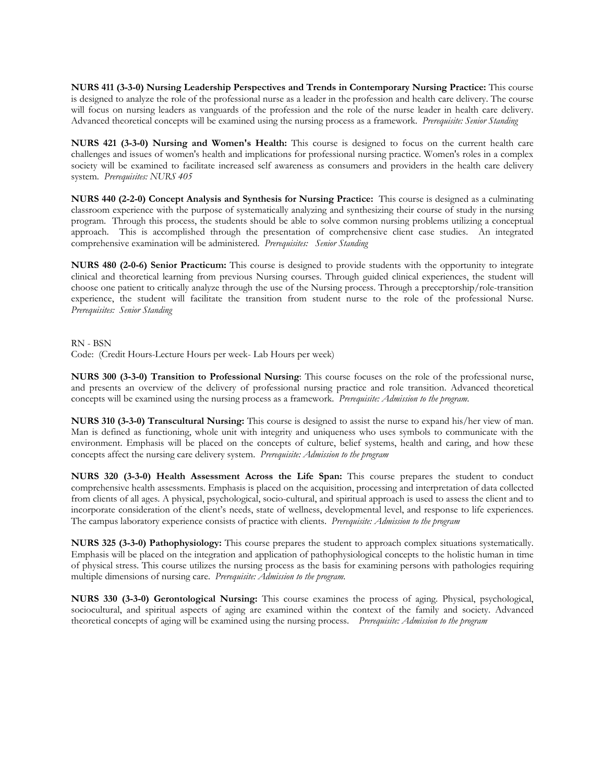**NURS 411 (3-3-0) Nursing Leadership Perspectives and Trends in Contemporary Nursing Practice:** This course is designed to analyze the role of the professional nurse as a leader in the profession and health care delivery. The course will focus on nursing leaders as vanguards of the profession and the role of the nurse leader in health care delivery. Advanced theoretical concepts will be examined using the nursing process as a framework. *Prerequisite: Senior Standing* 

**NURS 421 (3-3-0) Nursing and Women's Health:** This course is designed to focus on the current health care challenges and issues of women's health and implications for professional nursing practice. Women's roles in a complex society will be examined to facilitate increased self awareness as consumers and providers in the health care delivery system*. Prerequisites: NURS 405* 

**NURS 440 (2-2-0) Concept Analysis and Synthesis for Nursing Practice:** This course is designed as a culminating classroom experience with the purpose of systematically analyzing and synthesizing their course of study in the nursing program. Through this process, the students should be able to solve common nursing problems utilizing a conceptual approach. This is accomplished through the presentation of comprehensive client case studies. An integrated comprehensive examination will be administered. *Prerequisites: Senior Standing* 

**NURS 480 (2-0-6) Senior Practicum:** This course is designed to provide students with the opportunity to integrate clinical and theoretical learning from previous Nursing courses. Through guided clinical experiences, the student will choose one patient to critically analyze through the use of the Nursing process. Through a preceptorship/role-transition experience, the student will facilitate the transition from student nurse to the role of the professional Nurse. *Prerequisites: Senior Standing* 

RN - BSN

Code: (Credit Hours-Lecture Hours per week- Lab Hours per week)

**NURS 300 (3-3-0) Transition to Professional Nursing**: This course focuses on the role of the professional nurse, and presents an overview of the delivery of professional nursing practice and role transition. Advanced theoretical concepts will be examined using the nursing process as a framework. *Prerequisite: Admission to the program.* 

**NURS 310 (3-3-0) Transcultural Nursing:** This course is designed to assist the nurse to expand his/her view of man. Man is defined as functioning, whole unit with integrity and uniqueness who uses symbols to communicate with the environment. Emphasis will be placed on the concepts of culture, belief systems, health and caring, and how these concepts affect the nursing care delivery system. *Prerequisite: Admission to the program* 

**NURS 320 (3-3-0) Health Assessment Across the Life Span:** This course prepares the student to conduct comprehensive health assessments. Emphasis is placed on the acquisition, processing and interpretation of data collected from clients of all ages. A physical, psychological, socio-cultural, and spiritual approach is used to assess the client and to incorporate consideration of the client's needs, state of wellness, developmental level, and response to life experiences. The campus laboratory experience consists of practice with clients. *Prerequisite: Admission to the program* 

**NURS 325 (3-3-0) Pathophysiology:** This course prepares the student to approach complex situations systematically. Emphasis will be placed on the integration and application of pathophysiological concepts to the holistic human in time of physical stress. This course utilizes the nursing process as the basis for examining persons with pathologies requiring multiple dimensions of nursing care. *Prerequisite: Admission to the program.* 

**NURS 330 (3-3-0) Gerontological Nursing:** This course examines the process of aging. Physical, psychological, sociocultural, and spiritual aspects of aging are examined within the context of the family and society. Advanced theoretical concepts of aging will be examined using the nursing process. *Prerequisite: Admission to the program*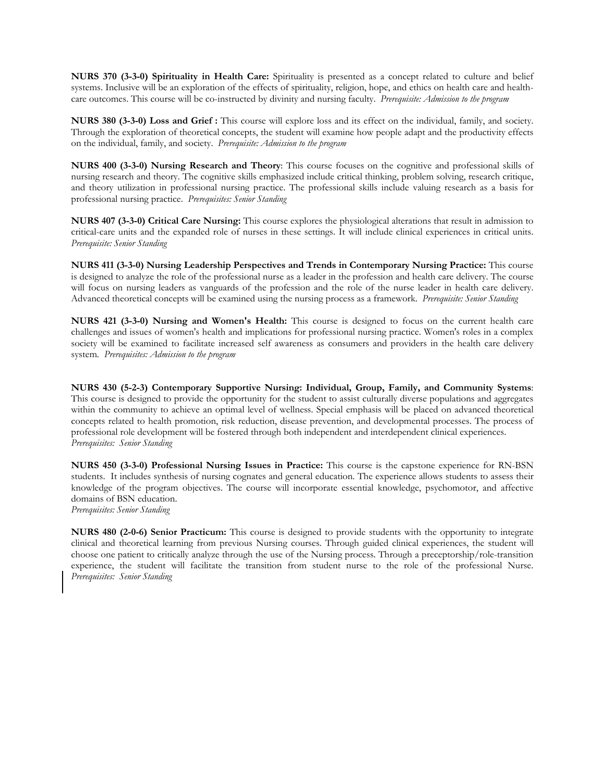**NURS 370 (3-3-0) Spirituality in Health Care:** Spirituality is presented as a concept related to culture and belief systems. Inclusive will be an exploration of the effects of spirituality, religion, hope, and ethics on health care and healthcare outcomes. This course will be co-instructed by divinity and nursing faculty. *Prerequisite: Admission to the program* 

**NURS 380 (3-3-0) Loss and Grief :** This course will explore loss and its effect on the individual, family, and society. Through the exploration of theoretical concepts, the student will examine how people adapt and the productivity effects on the individual, family, and society. *Prerequisite: Admission to the program* 

**NURS 400 (3-3-0) Nursing Research and Theory**: This course focuses on the cognitive and professional skills of nursing research and theory. The cognitive skills emphasized include critical thinking, problem solving, research critique, and theory utilization in professional nursing practice. The professional skills include valuing research as a basis for professional nursing practice. *Prerequisites: Senior Standing* 

**NURS 407 (3-3-0) Critical Care Nursing:** This course explores the physiological alterations that result in admission to critical-care units and the expanded role of nurses in these settings. It will include clinical experiences in critical units. *Prerequisite: Senior Standing* 

**NURS 411 (3-3-0) Nursing Leadership Perspectives and Trends in Contemporary Nursing Practice:** This course is designed to analyze the role of the professional nurse as a leader in the profession and health care delivery. The course will focus on nursing leaders as vanguards of the profession and the role of the nurse leader in health care delivery. Advanced theoretical concepts will be examined using the nursing process as a framework. *Prerequisite: Senior Standing* 

**NURS 421 (3-3-0) Nursing and Women's Health:** This course is designed to focus on the current health care challenges and issues of women's health and implications for professional nursing practice. Women's roles in a complex society will be examined to facilitate increased self awareness as consumers and providers in the health care delivery system*. Prerequisites: Admission to the program* 

**NURS 430 (5-2-3) Contemporary Supportive Nursing: Individual, Group, Family, and Community Systems**: This course is designed to provide the opportunity for the student to assist culturally diverse populations and aggregates within the community to achieve an optimal level of wellness. Special emphasis will be placed on advanced theoretical concepts related to health promotion, risk reduction, disease prevention, and developmental processes. The process of professional role development will be fostered through both independent and interdependent clinical experiences. *Prerequisites: Senior Standing* 

**NURS 450 (3-3-0) Professional Nursing Issues in Practice:** This course is the capstone experience for RN-BSN students. It includes synthesis of nursing cognates and general education. The experience allows students to assess their knowledge of the program objectives. The course will incorporate essential knowledge, psychomotor, and affective domains of BSN education. *Prerequisites: Senior Standing* 

**NURS 480 (2-0-6) Senior Practicum:** This course is designed to provide students with the opportunity to integrate clinical and theoretical learning from previous Nursing courses. Through guided clinical experiences, the student will choose one patient to critically analyze through the use of the Nursing process. Through a preceptorship/role-transition experience, the student will facilitate the transition from student nurse to the role of the professional Nurse. *Prerequisites: Senior Standing*